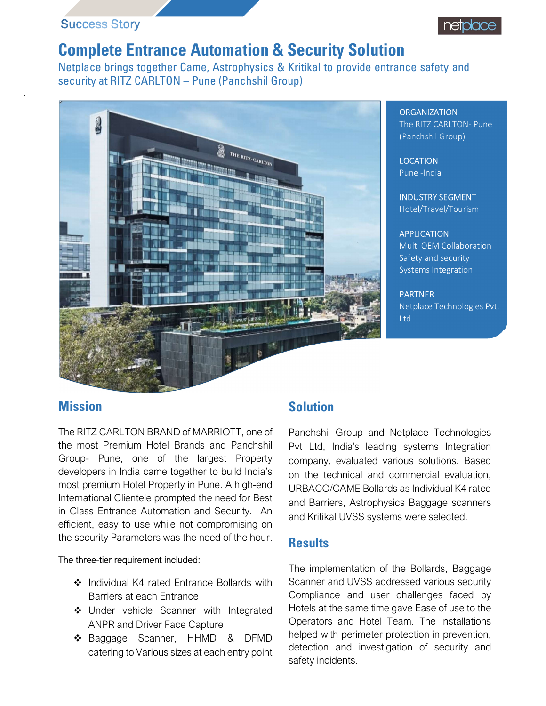# **Success Story**

# Complete Entrance Automation & Security Solution

Netplace brings together Came, Astrophysics & Kritikal to provide entrance safety and security at RITZ CARLTON – Pune (Panchshil Group)



ORGANIZATION<br>The RITZ CARLTON- Pune (Panchshil Group)

**LOCATION** Pune -India

INDUSTRY SEGMENT Hotel/Travel/Tourism

### APPLICATION

Multi OEM Collaboration Safety and security Systems Integration

PARTNER Netplace Technologies Pvt. Ltd.

# **Mission**

The RITZ CARLTON BRAND of MARRIOTT, one of the most Premium Hotel Brands and Panchshil Group- Pune, one of the largest Property developers in India came together to build India's most premium Hotel Property in Pune. A high-end International Clientele prompted the need for Best in Class Entrance Automation and Security. An efficient, easy to use while not compromising on the security Parameters was the need of the hour.

#### The three-tier requirement included:

- ❖ Individual K4 rated Entrance Bollards with Barriers at each Entrance
- ◆ Under vehicle Scanner with Integrated ANPR and Driver Face Capture
- ◆ Baggage Scanner, HHMD & DFMD catering to Various sizes at each entry point

# Solution

Panchshil Group and Netplace Technologies Pvt Ltd, India's leading systems Integration company, evaluated various solutions. Based on the technical and commercial evaluation, URBACO/CAME Bollards as Individual K4 rated and Barriers, Astrophysics Baggage scanners and Kritikal UVSS systems were selected.

#### **Results**

The implementation of the Bollards, Baggage Scanner and UVSS addressed various security Compliance and user challenges faced by Hotels at the same time gave Ease of use to the Operators and Hotel Team. The installations helped with perimeter protection in prevention, detection and investigation of security and safety incidents.